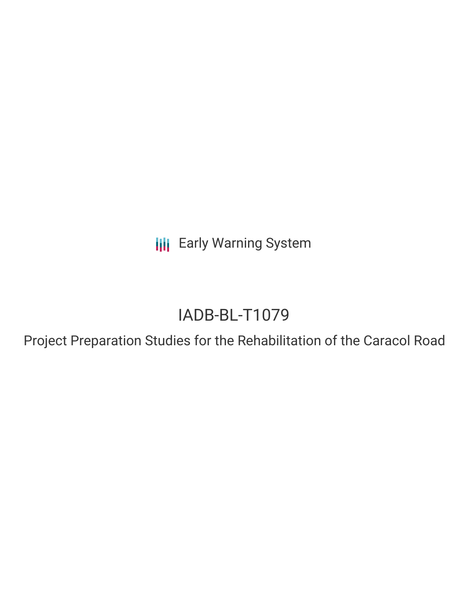**III** Early Warning System

# IADB-BL-T1079

Project Preparation Studies for the Rehabilitation of the Caracol Road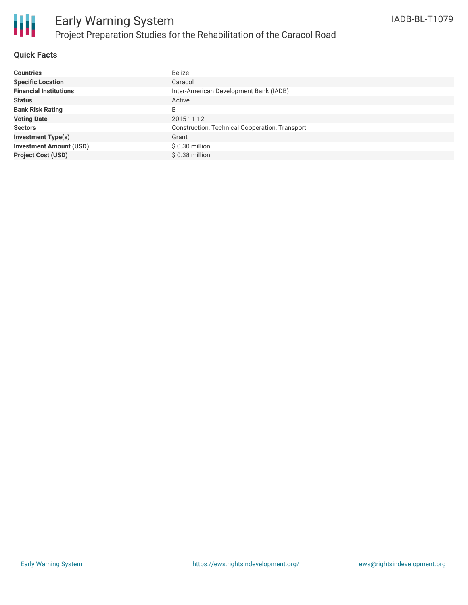

#### **Quick Facts**

| <b>Countries</b>               | <b>Belize</b>                                  |
|--------------------------------|------------------------------------------------|
| <b>Specific Location</b>       | Caracol                                        |
| <b>Financial Institutions</b>  | Inter-American Development Bank (IADB)         |
| <b>Status</b>                  | Active                                         |
| <b>Bank Risk Rating</b>        | B                                              |
| <b>Voting Date</b>             | 2015-11-12                                     |
| <b>Sectors</b>                 | Construction, Technical Cooperation, Transport |
| <b>Investment Type(s)</b>      | Grant                                          |
| <b>Investment Amount (USD)</b> | \$0.30 million                                 |
| <b>Project Cost (USD)</b>      | \$0.38 million                                 |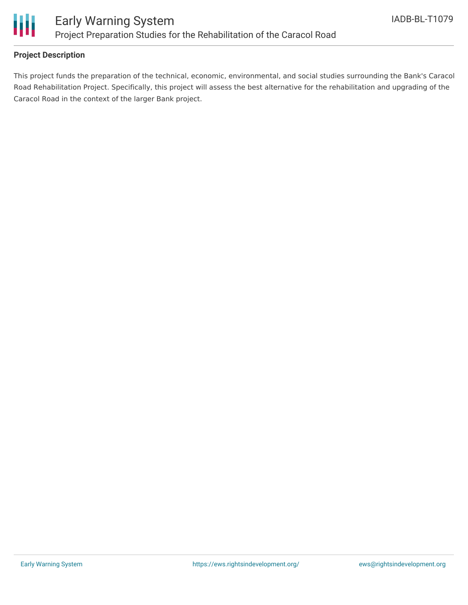

#### **Project Description**

This project funds the preparation of the technical, economic, environmental, and social studies surrounding the Bank's Caracol Road Rehabilitation Project. Specifically, this project will assess the best alternative for the rehabilitation and upgrading of the Caracol Road in the context of the larger Bank project.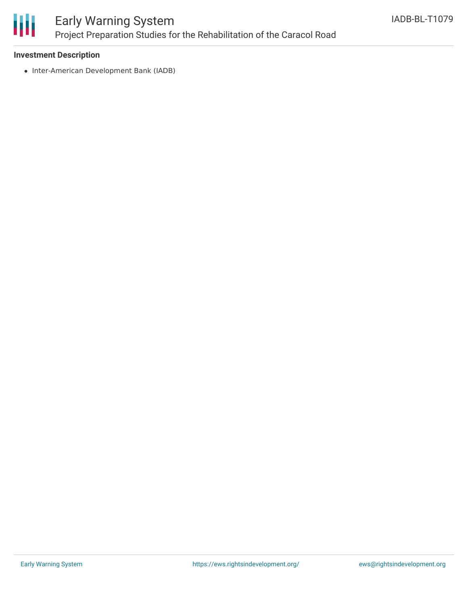

## Early Warning System Project Preparation Studies for the Rehabilitation of the Caracol Road

#### **Investment Description**

• Inter-American Development Bank (IADB)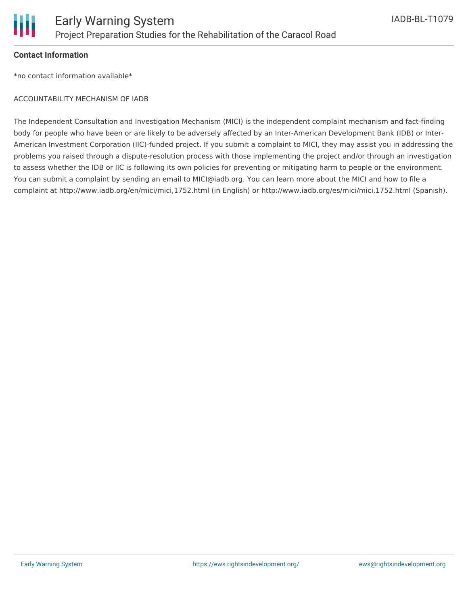

#### **Contact Information**

\*no contact information available\*

#### ACCOUNTABILITY MECHANISM OF IADB

The Independent Consultation and Investigation Mechanism (MICI) is the independent complaint mechanism and fact-finding body for people who have been or are likely to be adversely affected by an Inter-American Development Bank (IDB) or Inter-American Investment Corporation (IIC)-funded project. If you submit a complaint to MICI, they may assist you in addressing the problems you raised through a dispute-resolution process with those implementing the project and/or through an investigation to assess whether the IDB or IIC is following its own policies for preventing or mitigating harm to people or the environment. You can submit a complaint by sending an email to MICI@iadb.org. You can learn more about the MICI and how to file a complaint at http://www.iadb.org/en/mici/mici,1752.html (in English) or http://www.iadb.org/es/mici/mici,1752.html (Spanish).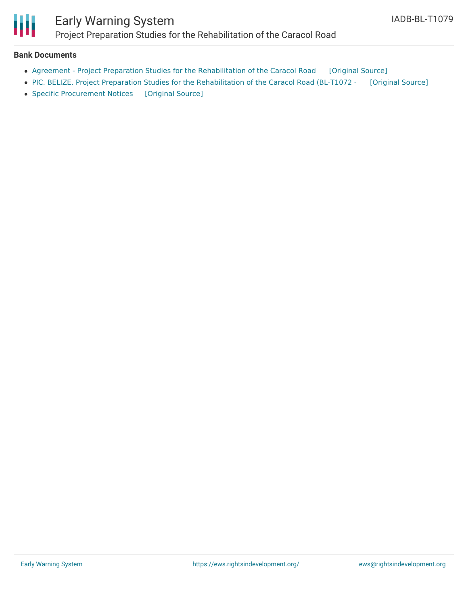

### Early Warning System Project Preparation Studies for the Rehabilitation of the Caracol Road

#### **Bank Documents**

- Agreement Project Preparation Studies for the [Rehabilitation](https://ewsdata.rightsindevelopment.org/files/documents/79/IADB-BL-T1079_Vi6DFnZ.pdf) of the Caracol Road [\[Original](http://www.iadb.org/Document.cfm?id=40374384) Source]
- PIC. BELIZE. Project Preparation Studies for the [Rehabilitation](https://ewsdata.rightsindevelopment.org/files/documents/79/IADB-BL-T1079.pdf) of the Caracol Road (BL-T1072 [\[Original](http://www.iadb.org/Document.cfm?id=39959833) Source]
- Specific [Procurement](https://ewsdata.rightsindevelopment.org/files/documents/79/IADB-BL-T1079_QWGF1ye.pdf) Notices [\[Original](http://idbdocs.iadb.org/wsdocs/getdocument.aspx?docnum=39979065) Source]